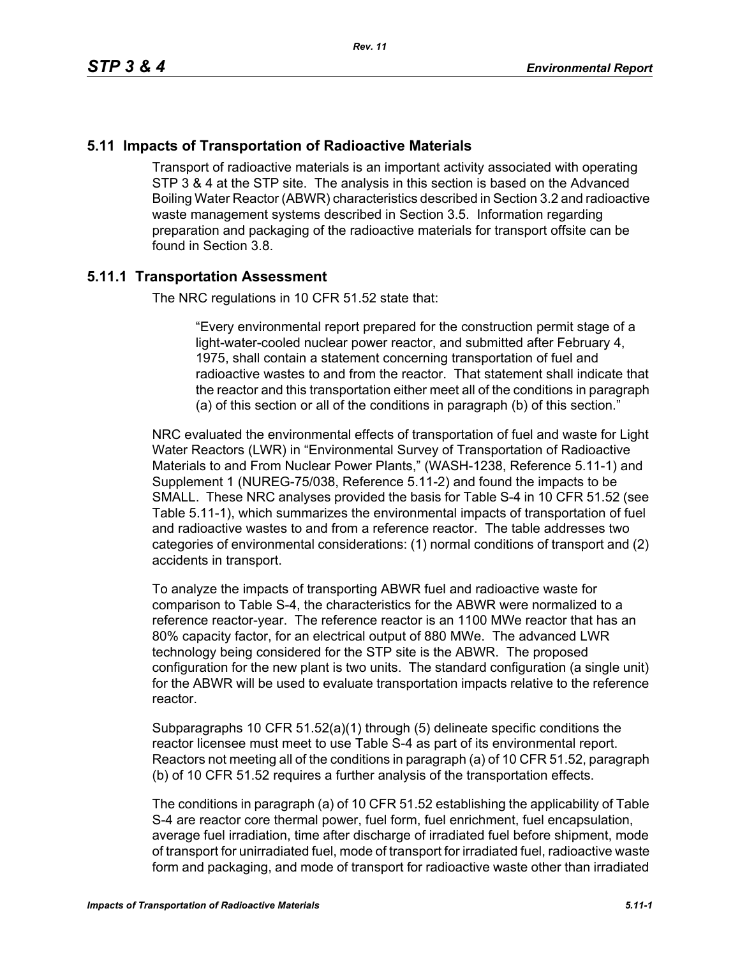# **5.11 Impacts of Transportation of Radioactive Materials**

Transport of radioactive materials is an important activity associated with operating STP 3 & 4 at the STP site. The analysis in this section is based on the Advanced Boiling Water Reactor (ABWR) characteristics described in Section 3.2 and radioactive waste management systems described in Section 3.5. Information regarding preparation and packaging of the radioactive materials for transport offsite can be found in Section 3.8.

### **5.11.1 Transportation Assessment**

The NRC regulations in 10 CFR 51.52 state that:

"Every environmental report prepared for the construction permit stage of a light-water-cooled nuclear power reactor, and submitted after February 4, 1975, shall contain a statement concerning transportation of fuel and radioactive wastes to and from the reactor. That statement shall indicate that the reactor and this transportation either meet all of the conditions in paragraph (a) of this section or all of the conditions in paragraph (b) of this section."

NRC evaluated the environmental effects of transportation of fuel and waste for Light Water Reactors (LWR) in "Environmental Survey of Transportation of Radioactive Materials to and From Nuclear Power Plants," (WASH-1238, Reference 5.11-1) and Supplement 1 (NUREG-75/038, Reference 5.11-2) and found the impacts to be SMALL. These NRC analyses provided the basis for Table S-4 in 10 CFR 51.52 (see Table 5.11-1), which summarizes the environmental impacts of transportation of fuel and radioactive wastes to and from a reference reactor. The table addresses two categories of environmental considerations: (1) normal conditions of transport and (2) accidents in transport.

To analyze the impacts of transporting ABWR fuel and radioactive waste for comparison to Table S-4, the characteristics for the ABWR were normalized to a reference reactor-year. The reference reactor is an 1100 MWe reactor that has an 80% capacity factor, for an electrical output of 880 MWe. The advanced LWR technology being considered for the STP site is the ABWR. The proposed configuration for the new plant is two units. The standard configuration (a single unit) for the ABWR will be used to evaluate transportation impacts relative to the reference reactor.

Subparagraphs 10 CFR 51.52(a)(1) through (5) delineate specific conditions the reactor licensee must meet to use Table S-4 as part of its environmental report. Reactors not meeting all of the conditions in paragraph (a) of 10 CFR 51.52, paragraph (b) of 10 CFR 51.52 requires a further analysis of the transportation effects.

The conditions in paragraph (a) of 10 CFR 51.52 establishing the applicability of Table S-4 are reactor core thermal power, fuel form, fuel enrichment, fuel encapsulation, average fuel irradiation, time after discharge of irradiated fuel before shipment, mode of transport for unirradiated fuel, mode of transport for irradiated fuel, radioactive waste form and packaging, and mode of transport for radioactive waste other than irradiated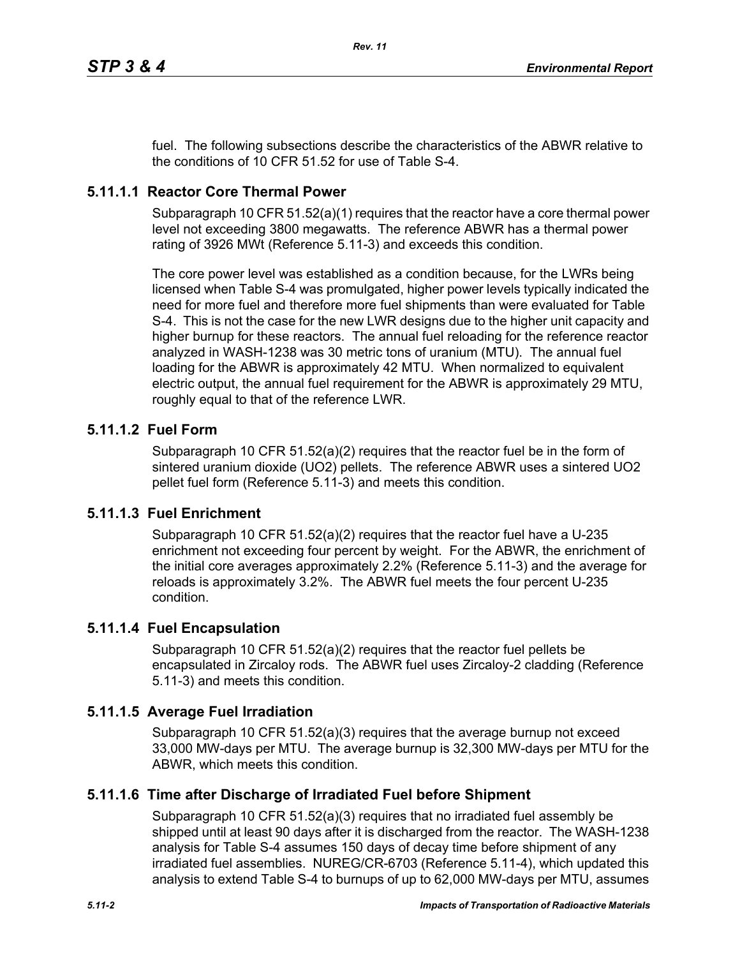fuel. The following subsections describe the characteristics of the ABWR relative to the conditions of 10 CFR 51.52 for use of Table S-4.

# **5.11.1.1 Reactor Core Thermal Power**

Subparagraph 10 CFR 51.52(a)(1) requires that the reactor have a core thermal power level not exceeding 3800 megawatts. The reference ABWR has a thermal power rating of 3926 MWt (Reference 5.11-3) and exceeds this condition.

The core power level was established as a condition because, for the LWRs being licensed when Table S-4 was promulgated, higher power levels typically indicated the need for more fuel and therefore more fuel shipments than were evaluated for Table S-4. This is not the case for the new LWR designs due to the higher unit capacity and higher burnup for these reactors. The annual fuel reloading for the reference reactor analyzed in WASH-1238 was 30 metric tons of uranium (MTU). The annual fuel loading for the ABWR is approximately 42 MTU. When normalized to equivalent electric output, the annual fuel requirement for the ABWR is approximately 29 MTU, roughly equal to that of the reference LWR.

# **5.11.1.2 Fuel Form**

Subparagraph 10 CFR 51.52(a)(2) requires that the reactor fuel be in the form of sintered uranium dioxide (UO2) pellets. The reference ABWR uses a sintered UO2 pellet fuel form (Reference 5.11-3) and meets this condition.

# **5.11.1.3 Fuel Enrichment**

Subparagraph 10 CFR 51.52(a)(2) requires that the reactor fuel have a U-235 enrichment not exceeding four percent by weight. For the ABWR, the enrichment of the initial core averages approximately 2.2% (Reference 5.11-3) and the average for reloads is approximately 3.2%. The ABWR fuel meets the four percent U-235 condition.

# **5.11.1.4 Fuel Encapsulation**

Subparagraph 10 CFR 51.52(a)(2) requires that the reactor fuel pellets be encapsulated in Zircaloy rods. The ABWR fuel uses Zircaloy-2 cladding (Reference 5.11-3) and meets this condition.

# **5.11.1.5 Average Fuel Irradiation**

Subparagraph 10 CFR  $51.52(a)(3)$  requires that the average burnup not exceed 33,000 MW-days per MTU. The average burnup is 32,300 MW-days per MTU for the ABWR, which meets this condition.

# **5.11.1.6 Time after Discharge of Irradiated Fuel before Shipment**

Subparagraph 10 CFR 51.52(a)(3) requires that no irradiated fuel assembly be shipped until at least 90 days after it is discharged from the reactor. The WASH-1238 analysis for Table S-4 assumes 150 days of decay time before shipment of any irradiated fuel assemblies. NUREG/CR-6703 (Reference 5.11-4), which updated this analysis to extend Table S-4 to burnups of up to 62,000 MW-days per MTU, assumes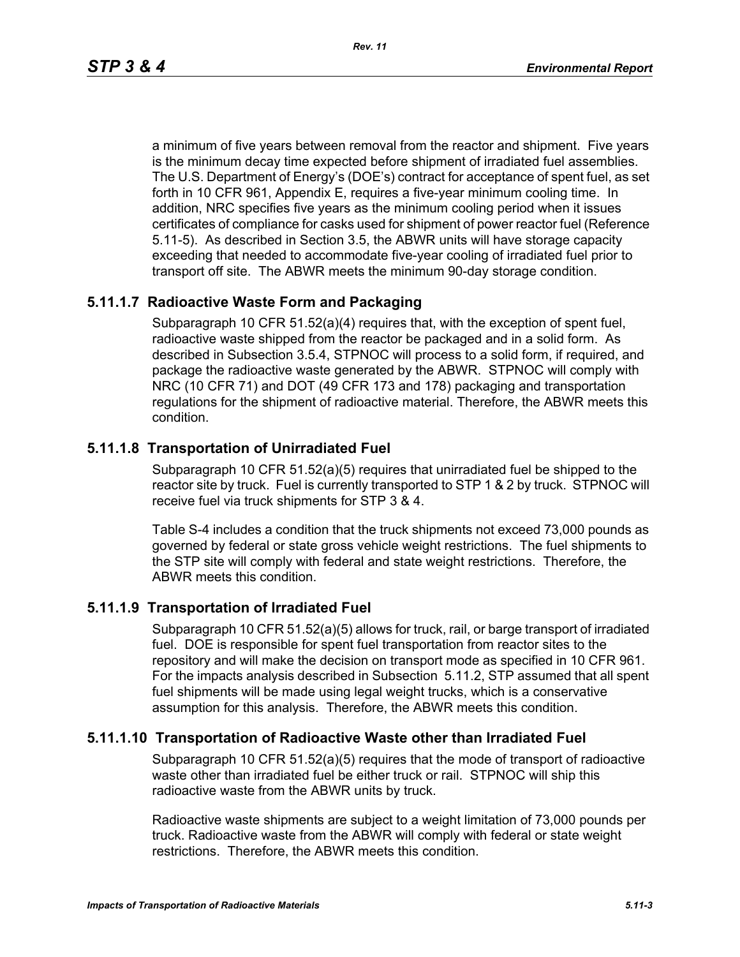a minimum of five years between removal from the reactor and shipment. Five years is the minimum decay time expected before shipment of irradiated fuel assemblies. The U.S. Department of Energy's (DOE's) contract for acceptance of spent fuel, as set forth in 10 CFR 961, Appendix E, requires a five-year minimum cooling time. In addition, NRC specifies five years as the minimum cooling period when it issues certificates of compliance for casks used for shipment of power reactor fuel (Reference 5.11-5). As described in Section 3.5, the ABWR units will have storage capacity exceeding that needed to accommodate five-year cooling of irradiated fuel prior to transport off site. The ABWR meets the minimum 90-day storage condition.

# **5.11.1.7 Radioactive Waste Form and Packaging**

Subparagraph 10 CFR 51.52(a)(4) requires that, with the exception of spent fuel, radioactive waste shipped from the reactor be packaged and in a solid form. As described in Subsection 3.5.4, STPNOC will process to a solid form, if required, and package the radioactive waste generated by the ABWR. STPNOC will comply with NRC (10 CFR 71) and DOT (49 CFR 173 and 178) packaging and transportation regulations for the shipment of radioactive material. Therefore, the ABWR meets this condition.

# **5.11.1.8 Transportation of Unirradiated Fuel**

Subparagraph 10 CFR 51.52(a)(5) requires that unirradiated fuel be shipped to the reactor site by truck. Fuel is currently transported to STP 1 & 2 by truck. STPNOC will receive fuel via truck shipments for STP 3 & 4.

Table S-4 includes a condition that the truck shipments not exceed 73,000 pounds as governed by federal or state gross vehicle weight restrictions. The fuel shipments to the STP site will comply with federal and state weight restrictions. Therefore, the ABWR meets this condition.

# **5.11.1.9 Transportation of Irradiated Fuel**

Subparagraph 10 CFR 51.52(a)(5) allows for truck, rail, or barge transport of irradiated fuel. DOE is responsible for spent fuel transportation from reactor sites to the repository and will make the decision on transport mode as specified in 10 CFR 961. For the impacts analysis described in Subsection 5.11.2, STP assumed that all spent fuel shipments will be made using legal weight trucks, which is a conservative assumption for this analysis. Therefore, the ABWR meets this condition.

# **5.11.1.10 Transportation of Radioactive Waste other than Irradiated Fuel**

Subparagraph 10 CFR 51.52(a)(5) requires that the mode of transport of radioactive waste other than irradiated fuel be either truck or rail. STPNOC will ship this radioactive waste from the ABWR units by truck.

Radioactive waste shipments are subject to a weight limitation of 73,000 pounds per truck. Radioactive waste from the ABWR will comply with federal or state weight restrictions. Therefore, the ABWR meets this condition.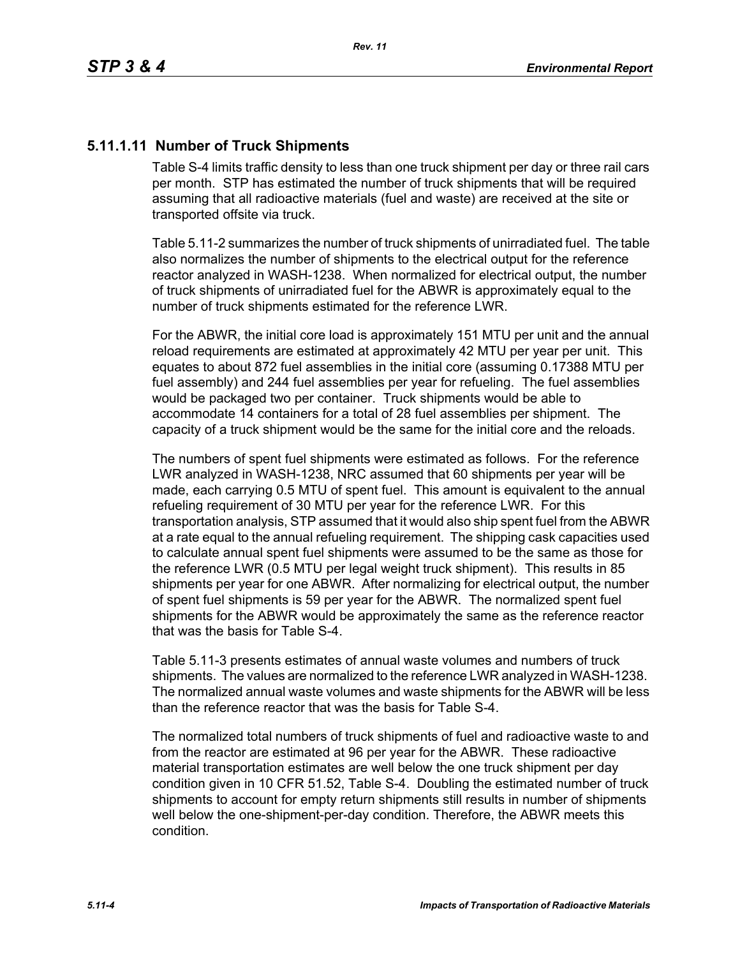# **5.11.1.11 Number of Truck Shipments**

Table S-4 limits traffic density to less than one truck shipment per day or three rail cars per month. STP has estimated the number of truck shipments that will be required assuming that all radioactive materials (fuel and waste) are received at the site or transported offsite via truck.

Table 5.11-2 summarizes the number of truck shipments of unirradiated fuel. The table also normalizes the number of shipments to the electrical output for the reference reactor analyzed in WASH-1238. When normalized for electrical output, the number of truck shipments of unirradiated fuel for the ABWR is approximately equal to the number of truck shipments estimated for the reference LWR.

For the ABWR, the initial core load is approximately 151 MTU per unit and the annual reload requirements are estimated at approximately 42 MTU per year per unit. This equates to about 872 fuel assemblies in the initial core (assuming 0.17388 MTU per fuel assembly) and 244 fuel assemblies per year for refueling. The fuel assemblies would be packaged two per container. Truck shipments would be able to accommodate 14 containers for a total of 28 fuel assemblies per shipment. The capacity of a truck shipment would be the same for the initial core and the reloads.

The numbers of spent fuel shipments were estimated as follows. For the reference LWR analyzed in WASH-1238, NRC assumed that 60 shipments per year will be made, each carrying 0.5 MTU of spent fuel. This amount is equivalent to the annual refueling requirement of 30 MTU per year for the reference LWR. For this transportation analysis, STP assumed that it would also ship spent fuel from the ABWR at a rate equal to the annual refueling requirement. The shipping cask capacities used to calculate annual spent fuel shipments were assumed to be the same as those for the reference LWR (0.5 MTU per legal weight truck shipment). This results in 85 shipments per year for one ABWR. After normalizing for electrical output, the number of spent fuel shipments is 59 per year for the ABWR. The normalized spent fuel shipments for the ABWR would be approximately the same as the reference reactor that was the basis for Table S-4.

Table 5.11-3 presents estimates of annual waste volumes and numbers of truck shipments. The values are normalized to the reference LWR analyzed in WASH-1238. The normalized annual waste volumes and waste shipments for the ABWR will be less than the reference reactor that was the basis for Table S-4.

The normalized total numbers of truck shipments of fuel and radioactive waste to and from the reactor are estimated at 96 per year for the ABWR. These radioactive material transportation estimates are well below the one truck shipment per day condition given in 10 CFR 51.52, Table S-4. Doubling the estimated number of truck shipments to account for empty return shipments still results in number of shipments well below the one-shipment-per-day condition. Therefore, the ABWR meets this condition.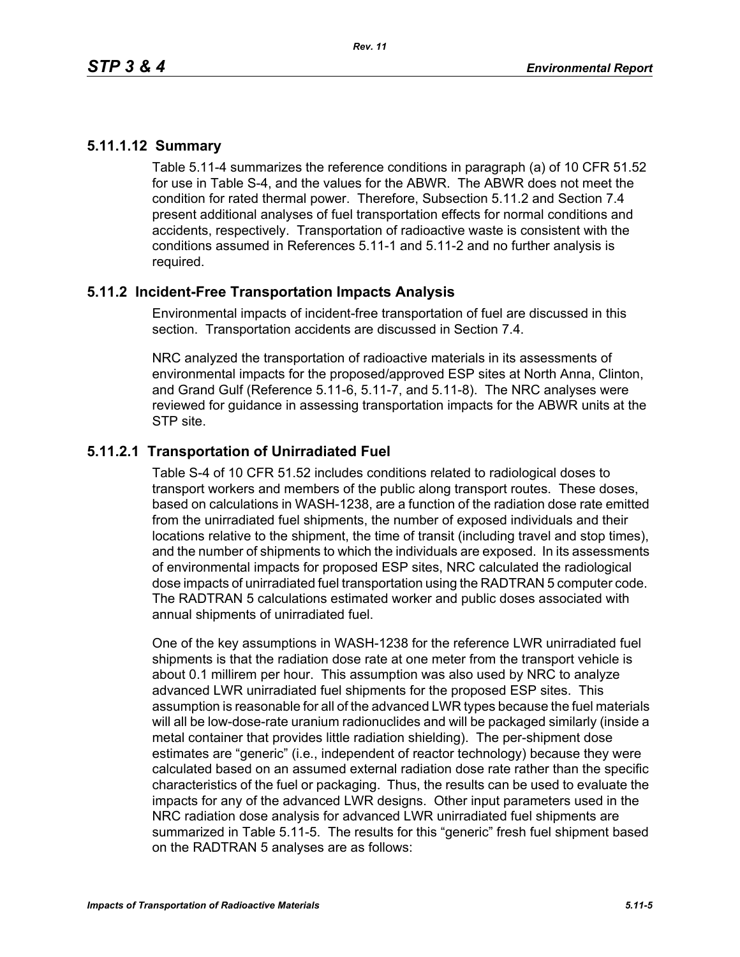# **5.11.1.12 Summary**

Table 5.11-4 summarizes the reference conditions in paragraph (a) of 10 CFR 51.52 for use in Table S-4, and the values for the ABWR. The ABWR does not meet the condition for rated thermal power. Therefore, Subsection 5.11.2 and Section 7.4 present additional analyses of fuel transportation effects for normal conditions and accidents, respectively. Transportation of radioactive waste is consistent with the conditions assumed in References 5.11-1 and 5.11-2 and no further analysis is required.

# **5.11.2 Incident-Free Transportation Impacts Analysis**

Environmental impacts of incident-free transportation of fuel are discussed in this section. Transportation accidents are discussed in Section 7.4.

NRC analyzed the transportation of radioactive materials in its assessments of environmental impacts for the proposed/approved ESP sites at North Anna, Clinton, and Grand Gulf (Reference 5.11-6, 5.11-7, and 5.11-8). The NRC analyses were reviewed for guidance in assessing transportation impacts for the ABWR units at the STP site.

# **5.11.2.1 Transportation of Unirradiated Fuel**

Table S-4 of 10 CFR 51.52 includes conditions related to radiological doses to transport workers and members of the public along transport routes. These doses, based on calculations in WASH-1238, are a function of the radiation dose rate emitted from the unirradiated fuel shipments, the number of exposed individuals and their locations relative to the shipment, the time of transit (including travel and stop times), and the number of shipments to which the individuals are exposed. In its assessments of environmental impacts for proposed ESP sites, NRC calculated the radiological dose impacts of unirradiated fuel transportation using the RADTRAN 5 computer code. The RADTRAN 5 calculations estimated worker and public doses associated with annual shipments of unirradiated fuel.

One of the key assumptions in WASH-1238 for the reference LWR unirradiated fuel shipments is that the radiation dose rate at one meter from the transport vehicle is about 0.1 millirem per hour. This assumption was also used by NRC to analyze advanced LWR unirradiated fuel shipments for the proposed ESP sites. This assumption is reasonable for all of the advanced LWR types because the fuel materials will all be low-dose-rate uranium radionuclides and will be packaged similarly (inside a metal container that provides little radiation shielding). The per-shipment dose estimates are "generic" (i.e., independent of reactor technology) because they were calculated based on an assumed external radiation dose rate rather than the specific characteristics of the fuel or packaging. Thus, the results can be used to evaluate the impacts for any of the advanced LWR designs. Other input parameters used in the NRC radiation dose analysis for advanced LWR unirradiated fuel shipments are summarized in Table 5.11-5. The results for this "generic" fresh fuel shipment based on the RADTRAN 5 analyses are as follows: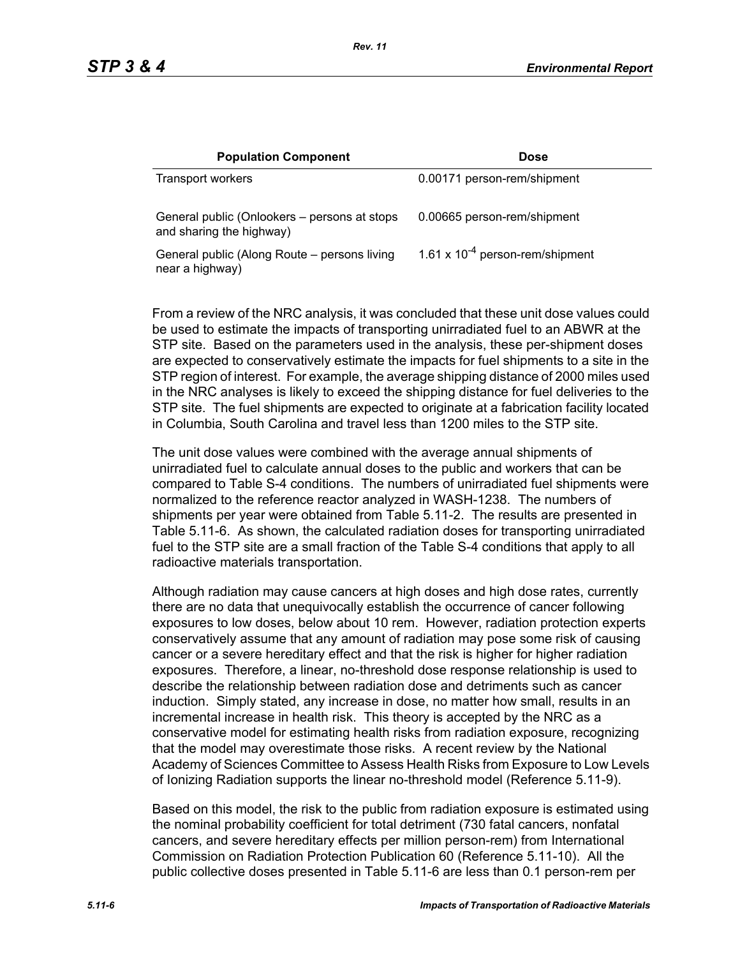| <b>Population Component</b>                                              | <b>Dose</b>                          |
|--------------------------------------------------------------------------|--------------------------------------|
| <b>Transport workers</b>                                                 | 0.00171 person-rem/shipment          |
| General public (Onlookers – persons at stops<br>and sharing the highway) | 0.00665 person-rem/shipment          |
| General public (Along Route – persons living<br>near a highway)          | 1.61 x $10^{-4}$ person-rem/shipment |

From a review of the NRC analysis, it was concluded that these unit dose values could be used to estimate the impacts of transporting unirradiated fuel to an ABWR at the STP site. Based on the parameters used in the analysis, these per-shipment doses are expected to conservatively estimate the impacts for fuel shipments to a site in the STP region of interest. For example, the average shipping distance of 2000 miles used in the NRC analyses is likely to exceed the shipping distance for fuel deliveries to the STP site. The fuel shipments are expected to originate at a fabrication facility located in Columbia, South Carolina and travel less than 1200 miles to the STP site.

The unit dose values were combined with the average annual shipments of unirradiated fuel to calculate annual doses to the public and workers that can be compared to Table S-4 conditions. The numbers of unirradiated fuel shipments were normalized to the reference reactor analyzed in WASH-1238. The numbers of shipments per year were obtained from Table 5.11-2. The results are presented in Table 5.11-6. As shown, the calculated radiation doses for transporting unirradiated fuel to the STP site are a small fraction of the Table S-4 conditions that apply to all radioactive materials transportation.

Although radiation may cause cancers at high doses and high dose rates, currently there are no data that unequivocally establish the occurrence of cancer following exposures to low doses, below about 10 rem. However, radiation protection experts conservatively assume that any amount of radiation may pose some risk of causing cancer or a severe hereditary effect and that the risk is higher for higher radiation exposures. Therefore, a linear, no-threshold dose response relationship is used to describe the relationship between radiation dose and detriments such as cancer induction. Simply stated, any increase in dose, no matter how small, results in an incremental increase in health risk. This theory is accepted by the NRC as a conservative model for estimating health risks from radiation exposure, recognizing that the model may overestimate those risks. A recent review by the National Academy of Sciences Committee to Assess Health Risks from Exposure to Low Levels of Ionizing Radiation supports the linear no-threshold model (Reference 5.11-9).

Based on this model, the risk to the public from radiation exposure is estimated using the nominal probability coefficient for total detriment (730 fatal cancers, nonfatal cancers, and severe hereditary effects per million person-rem) from International Commission on Radiation Protection Publication 60 (Reference 5.11-10). All the public collective doses presented in Table 5.11-6 are less than 0.1 person-rem per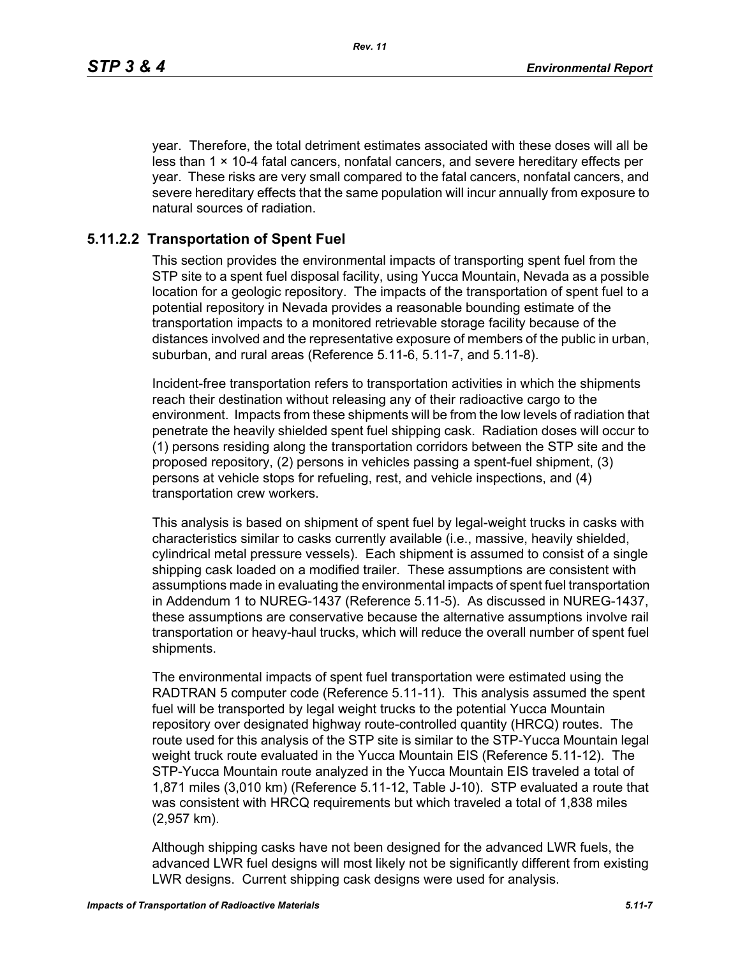year. Therefore, the total detriment estimates associated with these doses will all be less than  $1 \times 10-4$  fatal cancers, nonfatal cancers, and severe hereditary effects per year. These risks are very small compared to the fatal cancers, nonfatal cancers, and severe hereditary effects that the same population will incur annually from exposure to natural sources of radiation.

### **5.11.2.2 Transportation of Spent Fuel**

This section provides the environmental impacts of transporting spent fuel from the STP site to a spent fuel disposal facility, using Yucca Mountain, Nevada as a possible location for a geologic repository. The impacts of the transportation of spent fuel to a potential repository in Nevada provides a reasonable bounding estimate of the transportation impacts to a monitored retrievable storage facility because of the distances involved and the representative exposure of members of the public in urban, suburban, and rural areas (Reference 5.11-6, 5.11-7, and 5.11-8).

Incident-free transportation refers to transportation activities in which the shipments reach their destination without releasing any of their radioactive cargo to the environment. Impacts from these shipments will be from the low levels of radiation that penetrate the heavily shielded spent fuel shipping cask. Radiation doses will occur to (1) persons residing along the transportation corridors between the STP site and the proposed repository, (2) persons in vehicles passing a spent-fuel shipment, (3) persons at vehicle stops for refueling, rest, and vehicle inspections, and (4) transportation crew workers.

This analysis is based on shipment of spent fuel by legal-weight trucks in casks with characteristics similar to casks currently available (i.e., massive, heavily shielded, cylindrical metal pressure vessels). Each shipment is assumed to consist of a single shipping cask loaded on a modified trailer. These assumptions are consistent with assumptions made in evaluating the environmental impacts of spent fuel transportation in Addendum 1 to NUREG-1437 (Reference 5.11-5). As discussed in NUREG-1437, these assumptions are conservative because the alternative assumptions involve rail transportation or heavy-haul trucks, which will reduce the overall number of spent fuel shipments.

The environmental impacts of spent fuel transportation were estimated using the RADTRAN 5 computer code (Reference 5.11-11). This analysis assumed the spent fuel will be transported by legal weight trucks to the potential Yucca Mountain repository over designated highway route-controlled quantity (HRCQ) routes. The route used for this analysis of the STP site is similar to the STP-Yucca Mountain legal weight truck route evaluated in the Yucca Mountain EIS (Reference 5.11-12). The STP-Yucca Mountain route analyzed in the Yucca Mountain EIS traveled a total of 1,871 miles (3,010 km) (Reference 5.11-12, Table J-10). STP evaluated a route that was consistent with HRCQ requirements but which traveled a total of 1,838 miles (2,957 km).

Although shipping casks have not been designed for the advanced LWR fuels, the advanced LWR fuel designs will most likely not be significantly different from existing LWR designs. Current shipping cask designs were used for analysis.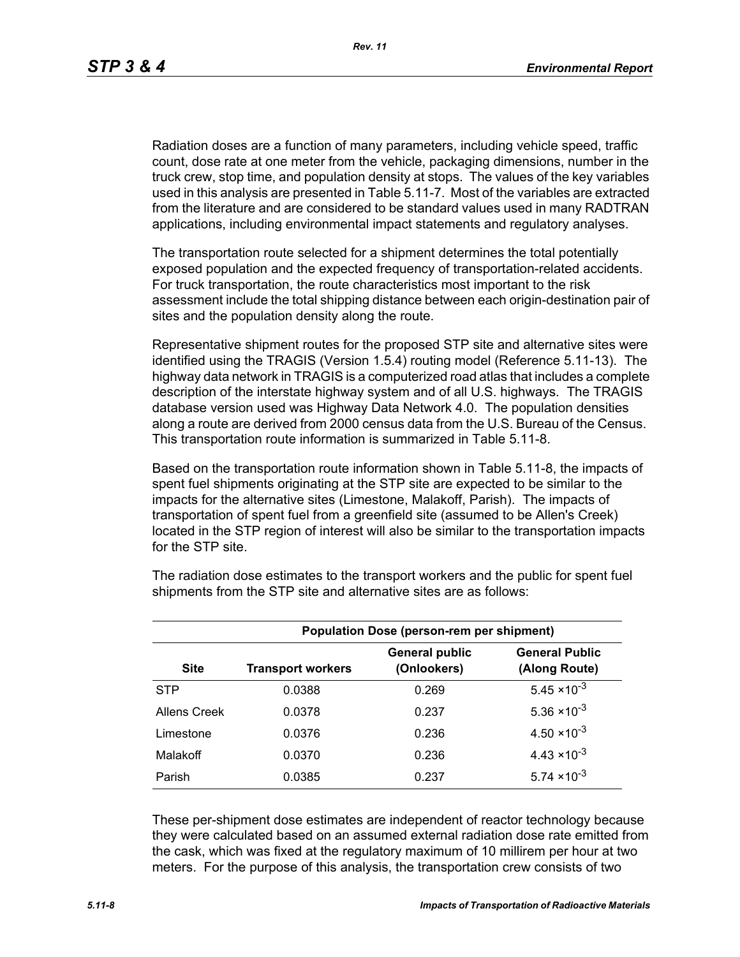Radiation doses are a function of many parameters, including vehicle speed, traffic count, dose rate at one meter from the vehicle, packaging dimensions, number in the truck crew, stop time, and population density at stops. The values of the key variables used in this analysis are presented in Table 5.11-7. Most of the variables are extracted from the literature and are considered to be standard values used in many RADTRAN applications, including environmental impact statements and regulatory analyses.

The transportation route selected for a shipment determines the total potentially exposed population and the expected frequency of transportation-related accidents. For truck transportation, the route characteristics most important to the risk assessment include the total shipping distance between each origin-destination pair of sites and the population density along the route.

Representative shipment routes for the proposed STP site and alternative sites were identified using the TRAGIS (Version 1.5.4) routing model (Reference 5.11-13). The highway data network in TRAGIS is a computerized road atlas that includes a complete description of the interstate highway system and of all U.S. highways. The TRAGIS database version used was Highway Data Network 4.0. The population densities along a route are derived from 2000 census data from the U.S. Bureau of the Census. This transportation route information is summarized in Table 5.11-8.

Based on the transportation route information shown in Table 5.11-8, the impacts of spent fuel shipments originating at the STP site are expected to be similar to the impacts for the alternative sites (Limestone, Malakoff, Parish). The impacts of transportation of spent fuel from a greenfield site (assumed to be Allen's Creek) located in the STP region of interest will also be similar to the transportation impacts for the STP site.

| <b>Population Dose (person-rem per shipment)</b> |                          |                                      |                                        |  |  |
|--------------------------------------------------|--------------------------|--------------------------------------|----------------------------------------|--|--|
| <b>Site</b>                                      | <b>Transport workers</b> | <b>General public</b><br>(Onlookers) | <b>General Public</b><br>(Along Route) |  |  |
| <b>STP</b>                                       | 0.0388                   | 0.269                                | $5.45 \times 10^{-3}$                  |  |  |
| Allens Creek                                     | 0.0378                   | 0.237                                | $5.36 \times 10^{-3}$                  |  |  |
| Limestone                                        | 0.0376                   | 0.236                                | $4.50 \times 10^{-3}$                  |  |  |
| Malakoff                                         | 0.0370                   | 0.236                                | $4.43 \times 10^{-3}$                  |  |  |
| Parish                                           | 0.0385                   | 0.237                                | $5.74 \times 10^{-3}$                  |  |  |

The radiation dose estimates to the transport workers and the public for spent fuel shipments from the STP site and alternative sites are as follows:

These per-shipment dose estimates are independent of reactor technology because they were calculated based on an assumed external radiation dose rate emitted from the cask, which was fixed at the regulatory maximum of 10 millirem per hour at two meters. For the purpose of this analysis, the transportation crew consists of two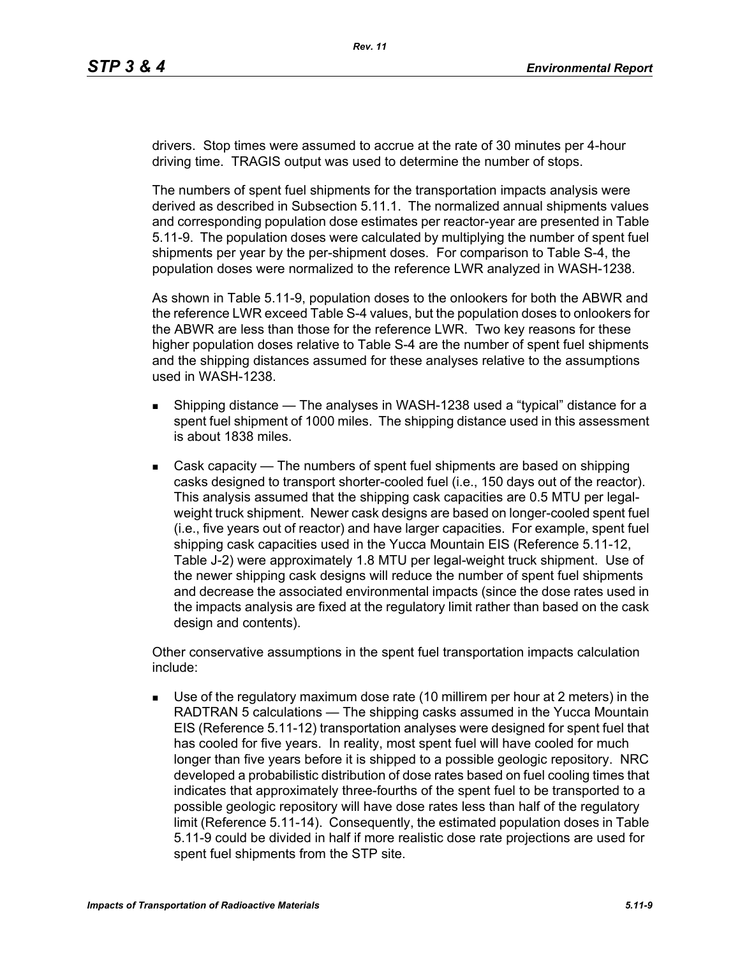drivers. Stop times were assumed to accrue at the rate of 30 minutes per 4-hour driving time. TRAGIS output was used to determine the number of stops.

The numbers of spent fuel shipments for the transportation impacts analysis were derived as described in Subsection 5.11.1. The normalized annual shipments values and corresponding population dose estimates per reactor-year are presented in Table 5.11-9. The population doses were calculated by multiplying the number of spent fuel shipments per year by the per-shipment doses. For comparison to Table S-4, the population doses were normalized to the reference LWR analyzed in WASH-1238.

As shown in Table 5.11-9, population doses to the onlookers for both the ABWR and the reference LWR exceed Table S-4 values, but the population doses to onlookers for the ABWR are less than those for the reference LWR. Two key reasons for these higher population doses relative to Table S-4 are the number of spent fuel shipments and the shipping distances assumed for these analyses relative to the assumptions used in WASH-1238.

- **Shipping distance The analyses in WASH-1238 used a "typical" distance for a** spent fuel shipment of 1000 miles. The shipping distance used in this assessment is about 1838 miles.
- Cask capacity The numbers of spent fuel shipments are based on shipping casks designed to transport shorter-cooled fuel (i.e., 150 days out of the reactor). This analysis assumed that the shipping cask capacities are 0.5 MTU per legalweight truck shipment. Newer cask designs are based on longer-cooled spent fuel (i.e., five years out of reactor) and have larger capacities. For example, spent fuel shipping cask capacities used in the Yucca Mountain EIS (Reference 5.11-12, Table J-2) were approximately 1.8 MTU per legal-weight truck shipment. Use of the newer shipping cask designs will reduce the number of spent fuel shipments and decrease the associated environmental impacts (since the dose rates used in the impacts analysis are fixed at the regulatory limit rather than based on the cask design and contents).

Other conservative assumptions in the spent fuel transportation impacts calculation include:

 Use of the regulatory maximum dose rate (10 millirem per hour at 2 meters) in the RADTRAN 5 calculations — The shipping casks assumed in the Yucca Mountain EIS (Reference 5.11-12) transportation analyses were designed for spent fuel that has cooled for five years. In reality, most spent fuel will have cooled for much longer than five years before it is shipped to a possible geologic repository. NRC developed a probabilistic distribution of dose rates based on fuel cooling times that indicates that approximately three-fourths of the spent fuel to be transported to a possible geologic repository will have dose rates less than half of the regulatory limit (Reference 5.11-14). Consequently, the estimated population doses in Table 5.11-9 could be divided in half if more realistic dose rate projections are used for spent fuel shipments from the STP site.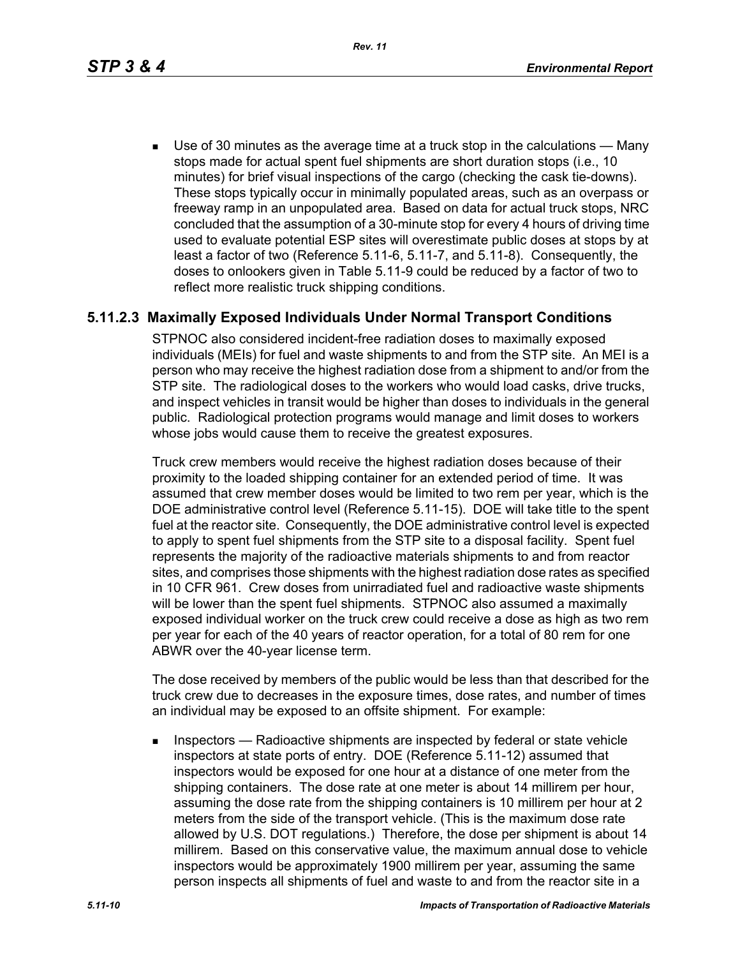*Rev. 11*

 Use of 30 minutes as the average time at a truck stop in the calculations — Many stops made for actual spent fuel shipments are short duration stops (i.e., 10 minutes) for brief visual inspections of the cargo (checking the cask tie-downs). These stops typically occur in minimally populated areas, such as an overpass or freeway ramp in an unpopulated area. Based on data for actual truck stops, NRC concluded that the assumption of a 30-minute stop for every 4 hours of driving time used to evaluate potential ESP sites will overestimate public doses at stops by at least a factor of two (Reference 5.11-6, 5.11-7, and 5.11-8). Consequently, the doses to onlookers given in Table 5.11-9 could be reduced by a factor of two to reflect more realistic truck shipping conditions.

# **5.11.2.3 Maximally Exposed Individuals Under Normal Transport Conditions**

STPNOC also considered incident-free radiation doses to maximally exposed individuals (MEIs) for fuel and waste shipments to and from the STP site. An MEI is a person who may receive the highest radiation dose from a shipment to and/or from the STP site. The radiological doses to the workers who would load casks, drive trucks, and inspect vehicles in transit would be higher than doses to individuals in the general public. Radiological protection programs would manage and limit doses to workers whose jobs would cause them to receive the greatest exposures.

Truck crew members would receive the highest radiation doses because of their proximity to the loaded shipping container for an extended period of time. It was assumed that crew member doses would be limited to two rem per year, which is the DOE administrative control level (Reference 5.11-15). DOE will take title to the spent fuel at the reactor site. Consequently, the DOE administrative control level is expected to apply to spent fuel shipments from the STP site to a disposal facility. Spent fuel represents the majority of the radioactive materials shipments to and from reactor sites, and comprises those shipments with the highest radiation dose rates as specified in 10 CFR 961. Crew doses from unirradiated fuel and radioactive waste shipments will be lower than the spent fuel shipments. STPNOC also assumed a maximally exposed individual worker on the truck crew could receive a dose as high as two rem per year for each of the 40 years of reactor operation, for a total of 80 rem for one ABWR over the 40-year license term.

The dose received by members of the public would be less than that described for the truck crew due to decreases in the exposure times, dose rates, and number of times an individual may be exposed to an offsite shipment. For example:

**Inspectors** — Radioactive shipments are inspected by federal or state vehicle inspectors at state ports of entry. DOE (Reference 5.11-12) assumed that inspectors would be exposed for one hour at a distance of one meter from the shipping containers. The dose rate at one meter is about 14 millirem per hour, assuming the dose rate from the shipping containers is 10 millirem per hour at 2 meters from the side of the transport vehicle. (This is the maximum dose rate allowed by U.S. DOT regulations.) Therefore, the dose per shipment is about 14 millirem. Based on this conservative value, the maximum annual dose to vehicle inspectors would be approximately 1900 millirem per year, assuming the same person inspects all shipments of fuel and waste to and from the reactor site in a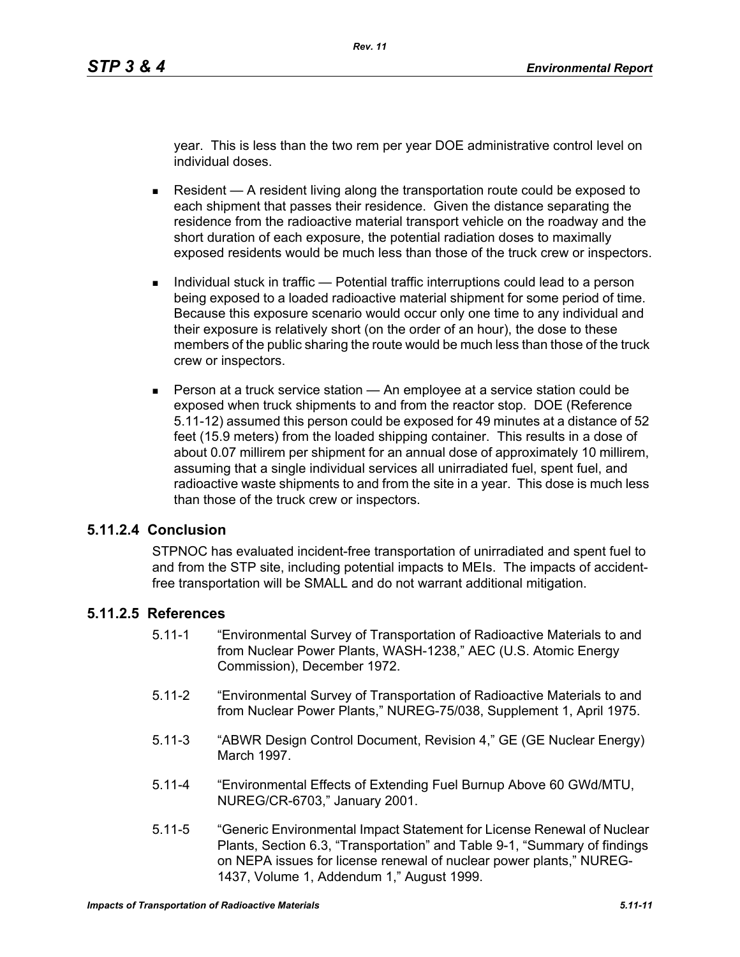year. This is less than the two rem per year DOE administrative control level on individual doses.

- Resident  $A$  resident living along the transportation route could be exposed to each shipment that passes their residence. Given the distance separating the residence from the radioactive material transport vehicle on the roadway and the short duration of each exposure, the potential radiation doses to maximally exposed residents would be much less than those of the truck crew or inspectors.
- Individual stuck in traffic Potential traffic interruptions could lead to a person being exposed to a loaded radioactive material shipment for some period of time. Because this exposure scenario would occur only one time to any individual and their exposure is relatively short (on the order of an hour), the dose to these members of the public sharing the route would be much less than those of the truck crew or inspectors.
- **Person at a truck service station An employee at a service station could be** exposed when truck shipments to and from the reactor stop. DOE (Reference 5.11-12) assumed this person could be exposed for 49 minutes at a distance of 52 feet (15.9 meters) from the loaded shipping container. This results in a dose of about 0.07 millirem per shipment for an annual dose of approximately 10 millirem, assuming that a single individual services all unirradiated fuel, spent fuel, and radioactive waste shipments to and from the site in a year. This dose is much less than those of the truck crew or inspectors.

#### **5.11.2.4 Conclusion**

STPNOC has evaluated incident-free transportation of unirradiated and spent fuel to and from the STP site, including potential impacts to MEIs. The impacts of accidentfree transportation will be SMALL and do not warrant additional mitigation.

### **5.11.2.5 References**

- 5.11-1 "Environmental Survey of Transportation of Radioactive Materials to and from Nuclear Power Plants, WASH-1238," AEC (U.S. Atomic Energy Commission), December 1972.
- 5.11-2 "Environmental Survey of Transportation of Radioactive Materials to and from Nuclear Power Plants," NUREG-75/038, Supplement 1, April 1975.
- 5.11-3 "ABWR Design Control Document, Revision 4," GE (GE Nuclear Energy) March 1997.
- 5.11-4 "Environmental Effects of Extending Fuel Burnup Above 60 GWd/MTU, NUREG/CR-6703," January 2001.
- 5.11-5 "Generic Environmental Impact Statement for License Renewal of Nuclear Plants, Section 6.3, "Transportation" and Table 9-1, "Summary of findings on NEPA issues for license renewal of nuclear power plants," NUREG-1437, Volume 1, Addendum 1," August 1999.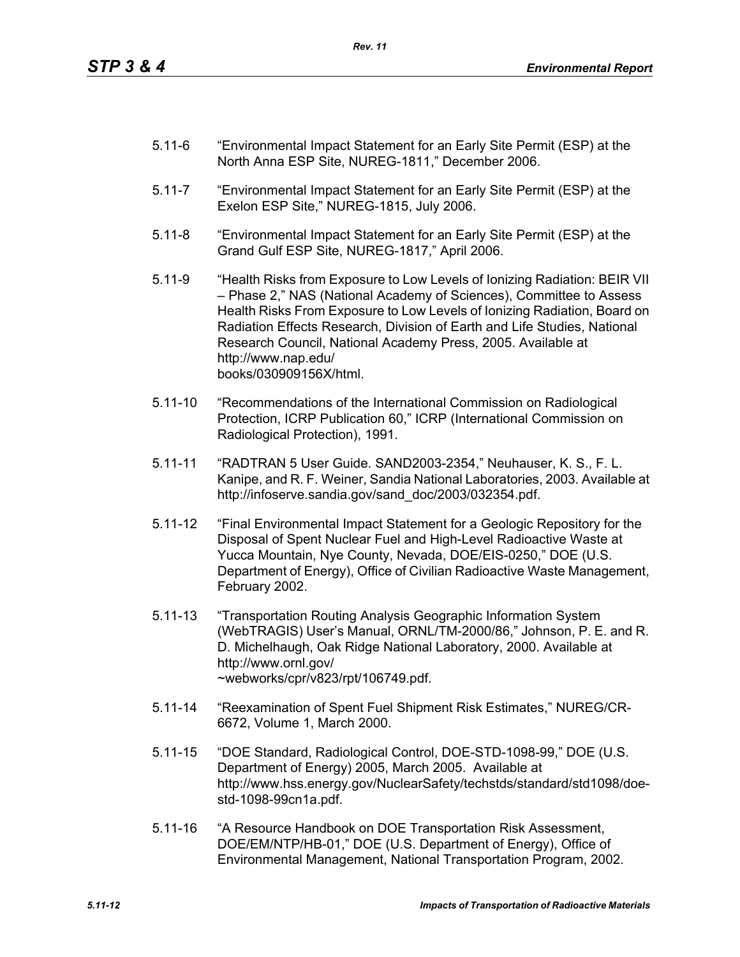- 5.11-6 "Environmental Impact Statement for an Early Site Permit (ESP) at the North Anna ESP Site, NUREG-1811," December 2006.
- 5.11-7 "Environmental Impact Statement for an Early Site Permit (ESP) at the Exelon ESP Site," NUREG-1815, July 2006.
- 5.11-8 "Environmental Impact Statement for an Early Site Permit (ESP) at the Grand Gulf ESP Site, NUREG-1817," April 2006.
- 5.11-9 "Health Risks from Exposure to Low Levels of Ionizing Radiation: BEIR VII – Phase 2," NAS (National Academy of Sciences), Committee to Assess Health Risks From Exposure to Low Levels of Ionizing Radiation, Board on Radiation Effects Research, Division of Earth and Life Studies, National Research Council, National Academy Press, 2005. Available at http://www.nap.edu/ books/030909156X/html.
- 5.11-10 "Recommendations of the International Commission on Radiological Protection, ICRP Publication 60," ICRP (International Commission on Radiological Protection), 1991.
- 5.11-11 "RADTRAN 5 User Guide. SAND2003-2354," Neuhauser, K. S., F. L. Kanipe, and R. F. Weiner, Sandia National Laboratories, 2003. Available at http://infoserve.sandia.gov/sand\_doc/2003/032354.pdf.
- 5.11-12 "Final Environmental Impact Statement for a Geologic Repository for the Disposal of Spent Nuclear Fuel and High-Level Radioactive Waste at Yucca Mountain, Nye County, Nevada, DOE/EIS-0250," DOE (U.S. Department of Energy), Office of Civilian Radioactive Waste Management, February 2002.
- 5.11-13 "Transportation Routing Analysis Geographic Information System (WebTRAGIS) User's Manual, ORNL/TM-2000/86," Johnson, P. E. and R. D. Michelhaugh, Oak Ridge National Laboratory, 2000. Available at http://www.ornl.gov/ ~webworks/cpr/v823/rpt/106749.pdf.
- 5.11-14 "Reexamination of Spent Fuel Shipment Risk Estimates," NUREG/CR-6672, Volume 1, March 2000.
- 5.11-15 "DOE Standard, Radiological Control, DOE-STD-1098-99," DOE (U.S. Department of Energy) 2005, March 2005. Available at http://www.hss.energy.gov/NuclearSafety/techstds/standard/std1098/doestd-1098-99cn1a.pdf.
- 5.11-16 "A Resource Handbook on DOE Transportation Risk Assessment, DOE/EM/NTP/HB-01," DOE (U.S. Department of Energy), Office of Environmental Management, National Transportation Program, 2002.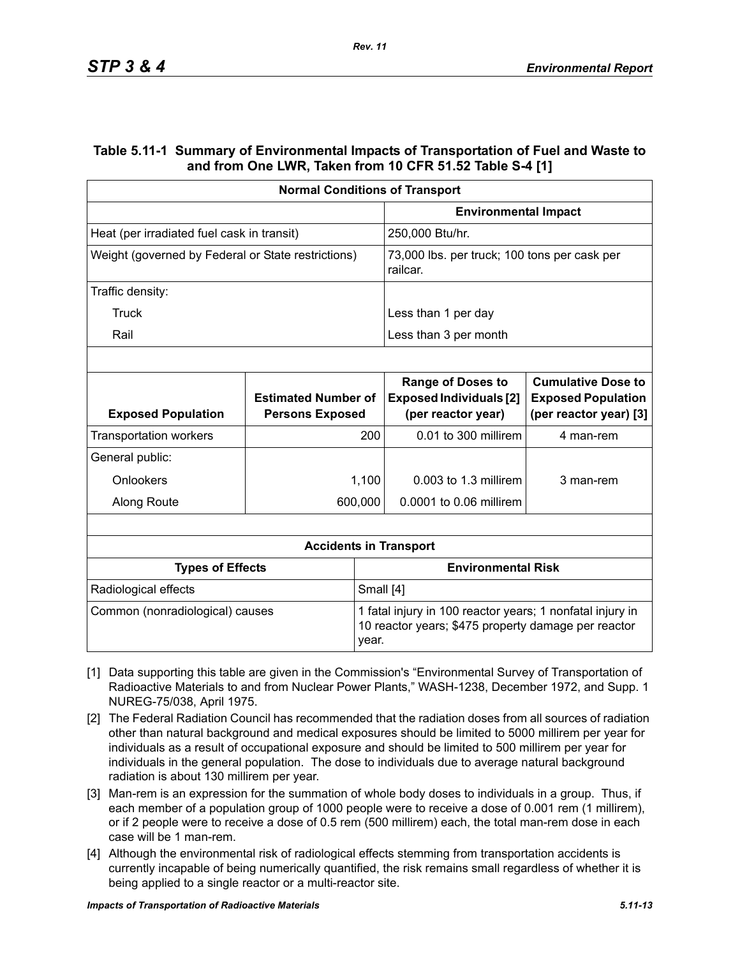### **Table 5.11-1 Summary of Environmental Impacts of Transportation of Fuel and Waste to and from One LWR, Taken from 10 CFR 51.52 Table S-4 [1]**

|                                                    | <b>Normal Conditions of Transport</b>                |                                                                                                                  |                                                                                  |                                                                                  |  |
|----------------------------------------------------|------------------------------------------------------|------------------------------------------------------------------------------------------------------------------|----------------------------------------------------------------------------------|----------------------------------------------------------------------------------|--|
|                                                    |                                                      |                                                                                                                  | <b>Environmental Impact</b>                                                      |                                                                                  |  |
| Heat (per irradiated fuel cask in transit)         |                                                      | 250,000 Btu/hr.                                                                                                  |                                                                                  |                                                                                  |  |
| Weight (governed by Federal or State restrictions) |                                                      |                                                                                                                  | 73,000 lbs. per truck; 100 tons per cask per<br>railcar.                         |                                                                                  |  |
| Traffic density:                                   |                                                      |                                                                                                                  |                                                                                  |                                                                                  |  |
| Truck                                              |                                                      |                                                                                                                  | Less than 1 per day                                                              |                                                                                  |  |
| Rail                                               |                                                      |                                                                                                                  | Less than 3 per month                                                            |                                                                                  |  |
|                                                    |                                                      |                                                                                                                  |                                                                                  |                                                                                  |  |
| <b>Exposed Population</b>                          | <b>Estimated Number of</b><br><b>Persons Exposed</b> |                                                                                                                  | <b>Range of Doses to</b><br><b>Exposed Individuals [2]</b><br>(per reactor year) | <b>Cumulative Dose to</b><br><b>Exposed Population</b><br>(per reactor year) [3] |  |
| <b>Transportation workers</b>                      |                                                      | 200                                                                                                              | 0.01 to 300 millirem                                                             | 4 man-rem                                                                        |  |
| General public:                                    |                                                      |                                                                                                                  |                                                                                  |                                                                                  |  |
| Onlookers                                          |                                                      | 1,100                                                                                                            | $0.003$ to 1.3 millirem                                                          | 3 man-rem                                                                        |  |
| Along Route                                        |                                                      | 600,000                                                                                                          | 0.0001 to 0.06 millirem                                                          |                                                                                  |  |
|                                                    |                                                      |                                                                                                                  |                                                                                  |                                                                                  |  |
|                                                    |                                                      |                                                                                                                  | <b>Accidents in Transport</b>                                                    |                                                                                  |  |
| <b>Types of Effects</b>                            |                                                      |                                                                                                                  | <b>Environmental Risk</b>                                                        |                                                                                  |  |
| Radiological effects                               |                                                      | Small [4]                                                                                                        |                                                                                  |                                                                                  |  |
| Common (nonradiological) causes<br>year.           |                                                      | 1 fatal injury in 100 reactor years; 1 nonfatal injury in<br>10 reactor years; \$475 property damage per reactor |                                                                                  |                                                                                  |  |

- [1] Data supporting this table are given in the Commission's "Environmental Survey of Transportation of Radioactive Materials to and from Nuclear Power Plants," WASH-1238, December 1972, and Supp. 1 NUREG-75/038, April 1975.
- [2] The Federal Radiation Council has recommended that the radiation doses from all sources of radiation other than natural background and medical exposures should be limited to 5000 millirem per year for individuals as a result of occupational exposure and should be limited to 500 millirem per year for individuals in the general population. The dose to individuals due to average natural background radiation is about 130 millirem per year.
- [3] Man-rem is an expression for the summation of whole body doses to individuals in a group. Thus, if each member of a population group of 1000 people were to receive a dose of 0.001 rem (1 millirem), or if 2 people were to receive a dose of 0.5 rem (500 millirem) each, the total man-rem dose in each case will be 1 man-rem.
- [4] Although the environmental risk of radiological effects stemming from transportation accidents is currently incapable of being numerically quantified, the risk remains small regardless of whether it is being applied to a single reactor or a multi-reactor site.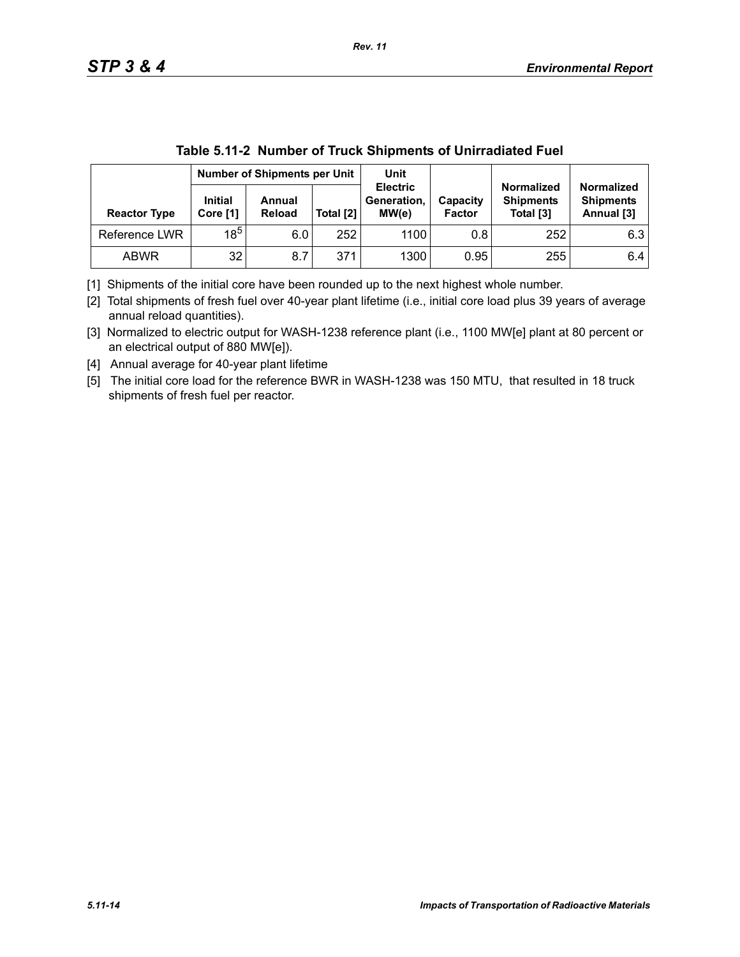| Table 5.11-2 INGHIBER OF HUCK SHIPHIERS OF OINTIGUIALED FUEL |                                     |                         |           |                                         |                           |                                                    |                                                     |
|--------------------------------------------------------------|-------------------------------------|-------------------------|-----------|-----------------------------------------|---------------------------|----------------------------------------------------|-----------------------------------------------------|
|                                                              | <b>Number of Shipments per Unit</b> |                         | Unit      |                                         |                           |                                                    |                                                     |
| <b>Reactor Type</b>                                          | <b>Initial</b><br>Core [1]          | Annual<br><b>Reload</b> | Total [2] | <b>Electric</b><br>Generation,<br>MW(e) | Capacity<br><b>Factor</b> | <b>Normalized</b><br><b>Shipments</b><br>Total [3] | <b>Normalized</b><br><b>Shipments</b><br>Annual [3] |
| Reference LWR                                                | $18^{5}$                            | 6.0                     | 252       | 1100                                    | 0.8                       | 252                                                | 6.3                                                 |
| <b>ABWR</b>                                                  | 32                                  | 8.7                     | 371       | 1300                                    | 0.95                      | 255                                                | 6.4                                                 |

**Table 5.11-2 Number of Truck Shipments of Unirradiated Fuel**

[1] Shipments of the initial core have been rounded up to the next highest whole number.

[2] Total shipments of fresh fuel over 40-year plant lifetime (i.e., initial core load plus 39 years of average annual reload quantities).

[3] Normalized to electric output for WASH-1238 reference plant (i.e., 1100 MW[e] plant at 80 percent or an electrical output of 880 MW[e]).

[4] Annual average for 40-year plant lifetime

[5] The initial core load for the reference BWR in WASH-1238 was 150 MTU, that resulted in 18 truck shipments of fresh fuel per reactor.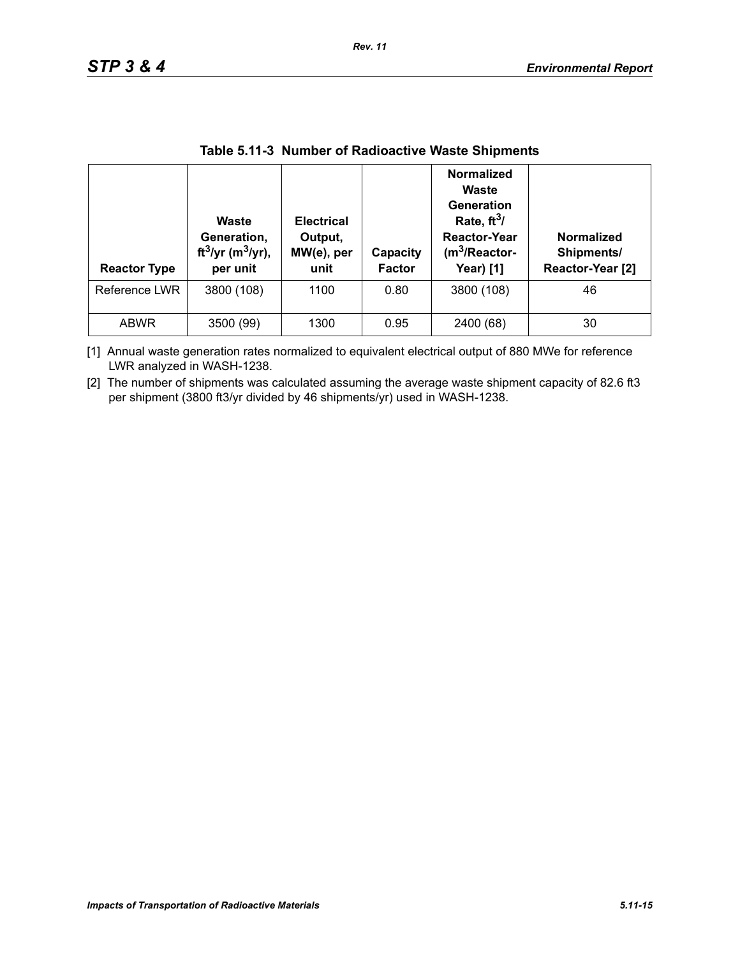| <b>Reactor Type</b> | Waste<br>Generation,<br>ft <sup>3</sup> /yr (m <sup>3</sup> /yr),<br>per unit | <b>Electrical</b><br>Output,<br>MW(e), per<br>unit | Capacity<br><b>Factor</b> | <b>Normalized</b><br>Waste<br>Generation<br>Rate, $ft^3/$<br><b>Reactor-Year</b><br>(m <sup>3</sup> /Reactor-<br>Year) [1] | <b>Normalized</b><br>Shipments/<br>Reactor-Year [2] |
|---------------------|-------------------------------------------------------------------------------|----------------------------------------------------|---------------------------|----------------------------------------------------------------------------------------------------------------------------|-----------------------------------------------------|
| Reference LWR       | 3800 (108)                                                                    | 1100                                               | 0.80                      | 3800 (108)                                                                                                                 | 46                                                  |
| <b>ABWR</b>         | 3500 (99)                                                                     | 1300                                               | 0.95                      | 2400 (68)                                                                                                                  | 30                                                  |

#### **Table 5.11-3 Number of Radioactive Waste Shipments**

*Rev. 11*

[1] Annual waste generation rates normalized to equivalent electrical output of 880 MWe for reference LWR analyzed in WASH-1238.

[2] The number of shipments was calculated assuming the average waste shipment capacity of 82.6 ft3 per shipment (3800 ft3/yr divided by 46 shipments/yr) used in WASH-1238.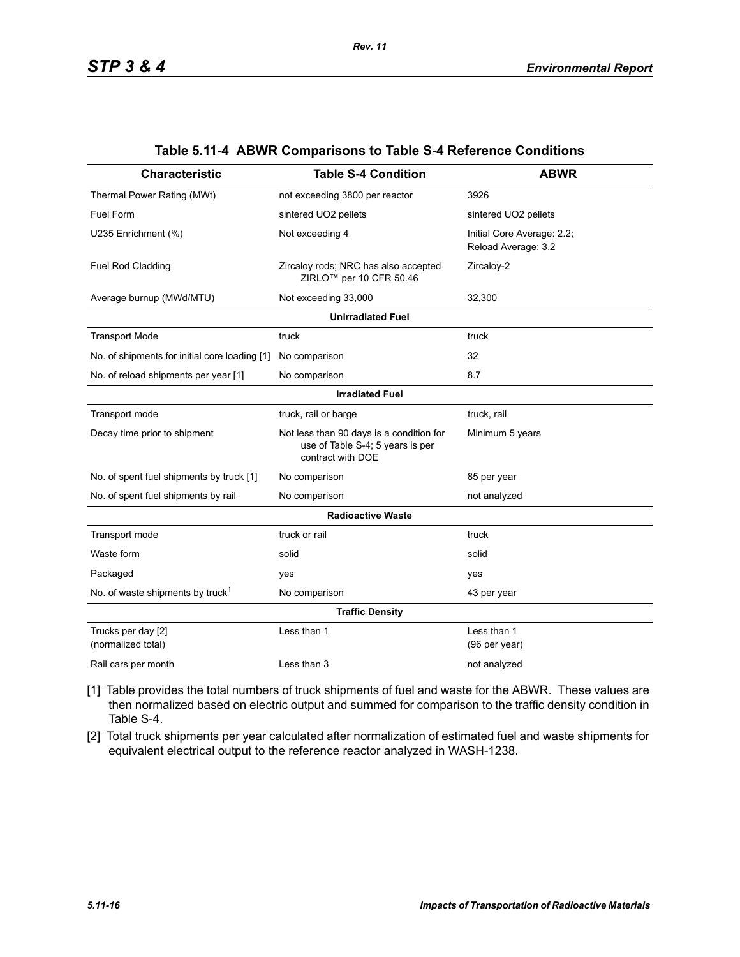| <b>Characteristic</b>                         | <b>Table S-4 Condition</b>                                                                        | <b>ABWR</b>                                       |  |  |  |  |
|-----------------------------------------------|---------------------------------------------------------------------------------------------------|---------------------------------------------------|--|--|--|--|
| Thermal Power Rating (MWt)                    | not exceeding 3800 per reactor                                                                    | 3926                                              |  |  |  |  |
| Fuel Form                                     | sintered UO2 pellets                                                                              | sintered UO2 pellets                              |  |  |  |  |
| U235 Enrichment (%)                           | Not exceeding 4                                                                                   | Initial Core Average: 2.2;<br>Reload Average: 3.2 |  |  |  |  |
| Fuel Rod Cladding                             | Zircaloy rods; NRC has also accepted<br>ZIRLO <sup>™</sup> per 10 CFR 50.46                       | Zircaloy-2                                        |  |  |  |  |
| Average burnup (MWd/MTU)                      | Not exceeding 33,000                                                                              | 32,300                                            |  |  |  |  |
|                                               | <b>Unirradiated Fuel</b>                                                                          |                                                   |  |  |  |  |
| <b>Transport Mode</b>                         | truck                                                                                             | truck                                             |  |  |  |  |
| No. of shipments for initial core loading [1] | No comparison                                                                                     | 32                                                |  |  |  |  |
| No. of reload shipments per year [1]          | No comparison                                                                                     | 8.7                                               |  |  |  |  |
| <b>Irradiated Fuel</b>                        |                                                                                                   |                                                   |  |  |  |  |
| Transport mode                                | truck, rail or barge                                                                              | truck, rail                                       |  |  |  |  |
| Decay time prior to shipment                  | Not less than 90 days is a condition for<br>use of Table S-4; 5 years is per<br>contract with DOE | Minimum 5 years                                   |  |  |  |  |
| No. of spent fuel shipments by truck [1]      | No comparison                                                                                     | 85 per year                                       |  |  |  |  |
| No. of spent fuel shipments by rail           | No comparison                                                                                     | not analyzed                                      |  |  |  |  |
|                                               | <b>Radioactive Waste</b>                                                                          |                                                   |  |  |  |  |
| Transport mode                                | truck or rail                                                                                     | truck                                             |  |  |  |  |
| Waste form                                    | solid                                                                                             | solid                                             |  |  |  |  |
| Packaged                                      | yes                                                                                               | yes                                               |  |  |  |  |
| No. of waste shipments by truck <sup>1</sup>  | No comparison                                                                                     | 43 per year                                       |  |  |  |  |
|                                               | <b>Traffic Density</b>                                                                            |                                                   |  |  |  |  |
| Trucks per day [2]<br>(normalized total)      | Less than 1                                                                                       | Less than 1<br>(96 per year)                      |  |  |  |  |
| Rail cars per month                           | Less than 3                                                                                       | not analyzed                                      |  |  |  |  |

#### **Table 5.11-4 ABWR Comparisons to Table S-4 Reference Conditions**

[1] Table provides the total numbers of truck shipments of fuel and waste for the ABWR. These values are then normalized based on electric output and summed for comparison to the traffic density condition in Table S-4.

[2] Total truck shipments per year calculated after normalization of estimated fuel and waste shipments for equivalent electrical output to the reference reactor analyzed in WASH-1238.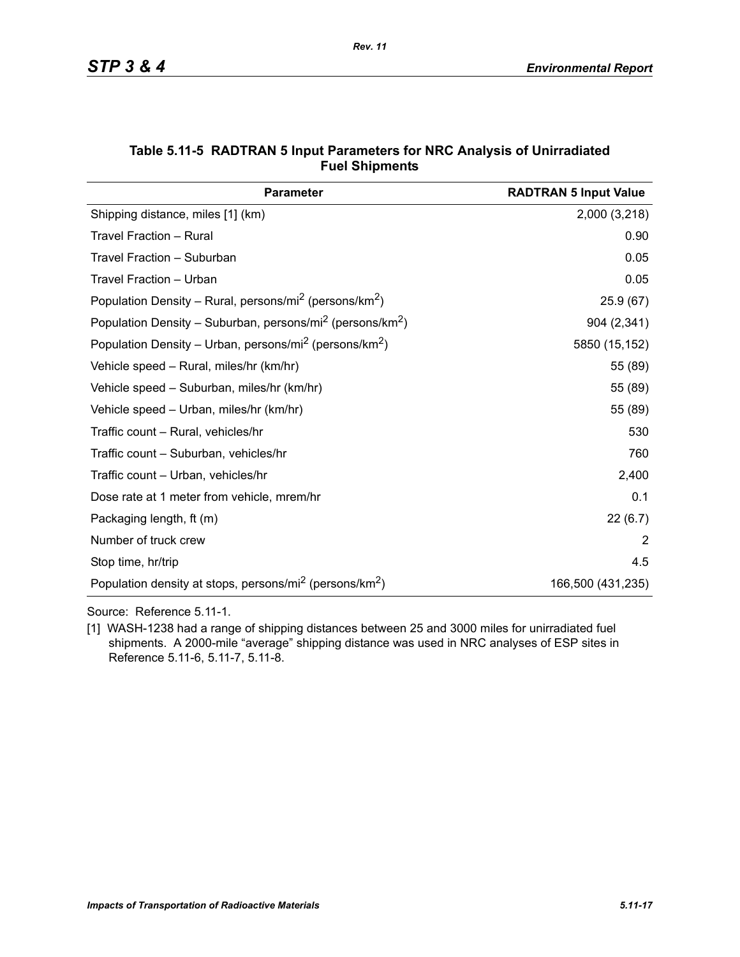| <b>Parameter</b>                                                                  | <b>RADTRAN 5 Input Value</b> |
|-----------------------------------------------------------------------------------|------------------------------|
| Shipping distance, miles [1] (km)                                                 | 2,000 (3,218)                |
| Travel Fraction - Rural                                                           | 0.90                         |
| Travel Fraction - Suburban                                                        | 0.05                         |
| Travel Fraction - Urban                                                           | 0.05                         |
| Population Density – Rural, persons/mi <sup>2</sup> (persons/km <sup>2</sup> )    | 25.9(67)                     |
| Population Density - Suburban, persons/mi <sup>2</sup> (persons/km <sup>2</sup> ) | 904 (2,341)                  |
| Population Density - Urban, persons/mi <sup>2</sup> (persons/km <sup>2</sup> )    | 5850 (15,152)                |
| Vehicle speed - Rural, miles/hr (km/hr)                                           | 55 (89)                      |
| Vehicle speed - Suburban, miles/hr (km/hr)                                        | 55 (89)                      |
| Vehicle speed - Urban, miles/hr (km/hr)                                           | 55 (89)                      |
| Traffic count - Rural, vehicles/hr                                                | 530                          |
| Traffic count – Suburban, vehicles/hr                                             | 760                          |
| Traffic count – Urban, vehicles/hr                                                | 2,400                        |
| Dose rate at 1 meter from vehicle, mrem/hr                                        | 0.1                          |
| Packaging length, ft (m)                                                          | 22(6.7)                      |
| Number of truck crew                                                              | 2                            |
| Stop time, hr/trip                                                                | 4.5                          |
| Population density at stops, persons/mi <sup>2</sup> (persons/km <sup>2</sup> )   | 166,500 (431,235)            |

### **Table 5.11-5 RADTRAN 5 Input Parameters for NRC Analysis of Unirradiated Fuel Shipments**

Source: Reference 5.11-1.

[1] WASH-1238 had a range of shipping distances between 25 and 3000 miles for unirradiated fuel shipments. A 2000-mile "average" shipping distance was used in NRC analyses of ESP sites in Reference 5.11-6, 5.11-7, 5.11-8.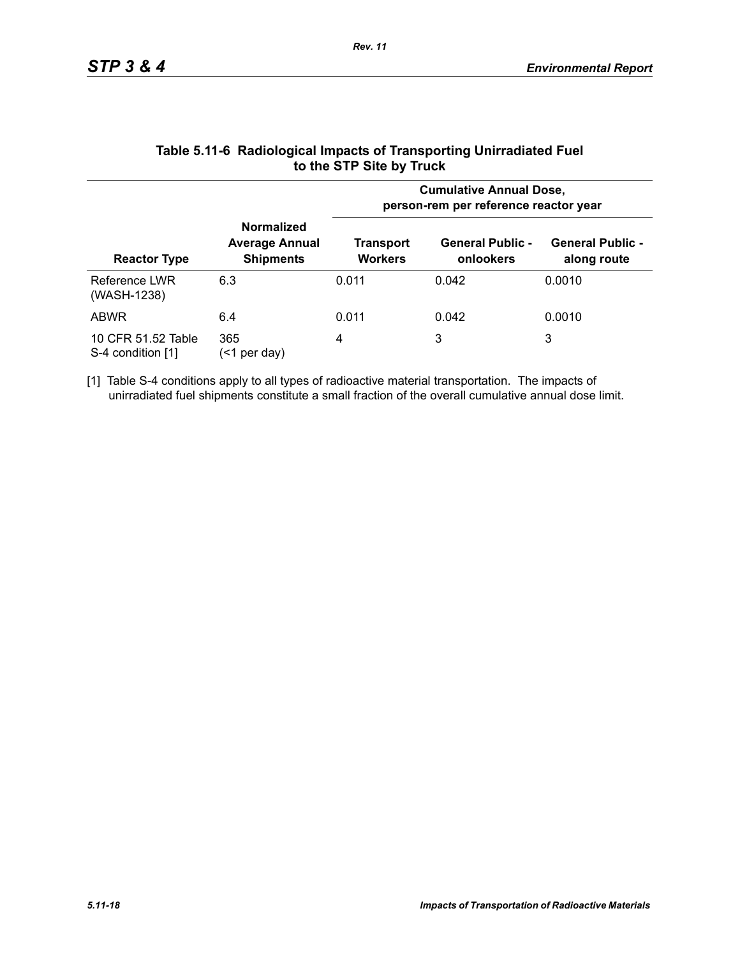|                                         |                                                                | <b>Cumulative Annual Dose,</b><br>person-rem per reference reactor year |                                      |                                        |  |
|-----------------------------------------|----------------------------------------------------------------|-------------------------------------------------------------------------|--------------------------------------|----------------------------------------|--|
| <b>Reactor Type</b>                     | <b>Normalized</b><br><b>Average Annual</b><br><b>Shipments</b> | Transport<br><b>Workers</b>                                             | <b>General Public -</b><br>onlookers | <b>General Public -</b><br>along route |  |
| Reference LWR<br>(WASH-1238)            | 6.3                                                            | 0.011                                                                   | 0.042                                | 0.0010                                 |  |
| <b>ABWR</b>                             | 6.4                                                            | 0.011                                                                   | 0.042                                | 0.0010                                 |  |
| 10 CFR 51.52 Table<br>S-4 condition [1] | 365<br>per day)<br>(<1                                         | 4                                                                       | 3                                    | 3                                      |  |

### **Table 5.11-6 Radiological Impacts of Transporting Unirradiated Fuel to the STP Site by Truck**

[1] Table S-4 conditions apply to all types of radioactive material transportation. The impacts of unirradiated fuel shipments constitute a small fraction of the overall cumulative annual dose limit.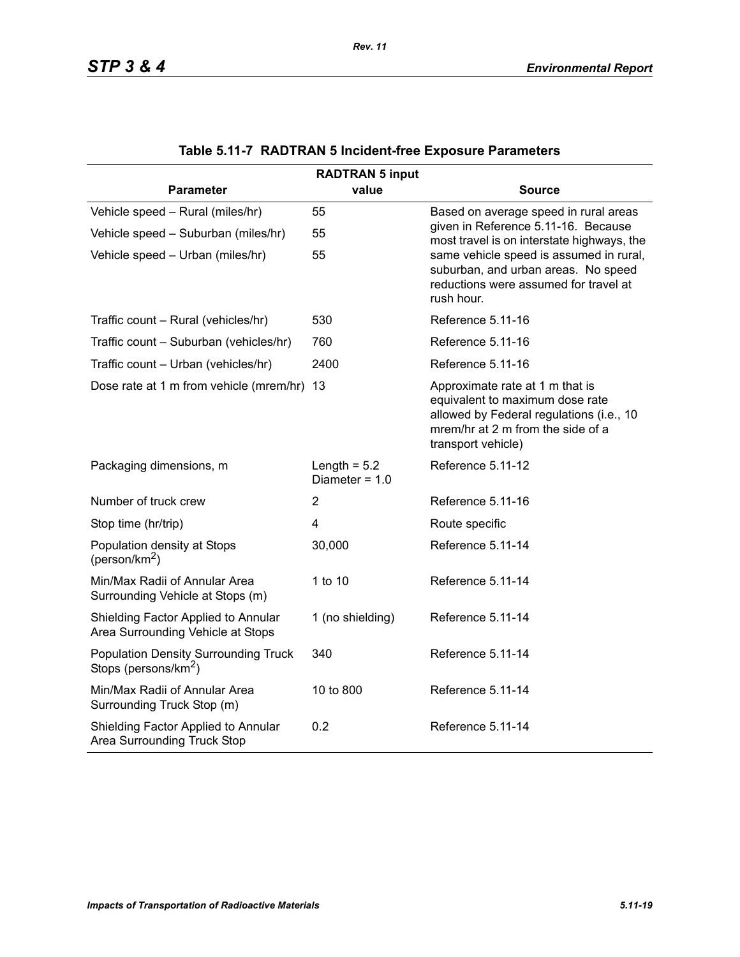| <b>RADTRAN 5 input</b>                                                          |                                    |                                                                                                                                                                           |  |  |  |
|---------------------------------------------------------------------------------|------------------------------------|---------------------------------------------------------------------------------------------------------------------------------------------------------------------------|--|--|--|
| <b>Parameter</b>                                                                | value                              | Source                                                                                                                                                                    |  |  |  |
| Vehicle speed - Rural (miles/hr)                                                | 55                                 | Based on average speed in rural areas                                                                                                                                     |  |  |  |
| Vehicle speed - Suburban (miles/hr)                                             | 55                                 | given in Reference 5.11-16. Because<br>most travel is on interstate highways, the                                                                                         |  |  |  |
| Vehicle speed - Urban (miles/hr)                                                | 55                                 | same vehicle speed is assumed in rural,<br>suburban, and urban areas. No speed<br>reductions were assumed for travel at<br>rush hour.                                     |  |  |  |
| Traffic count - Rural (vehicles/hr)                                             | 530                                | Reference 5.11-16                                                                                                                                                         |  |  |  |
| Traffic count - Suburban (vehicles/hr)                                          | 760                                | Reference 5.11-16                                                                                                                                                         |  |  |  |
| Traffic count - Urban (vehicles/hr)                                             | 2400                               | Reference 5.11-16                                                                                                                                                         |  |  |  |
| Dose rate at 1 m from vehicle (mrem/hr) 13                                      |                                    | Approximate rate at 1 m that is<br>equivalent to maximum dose rate<br>allowed by Federal regulations (i.e., 10<br>mrem/hr at 2 m from the side of a<br>transport vehicle) |  |  |  |
| Packaging dimensions, m                                                         | Length = $5.2$<br>Diameter = $1.0$ | Reference 5.11-12                                                                                                                                                         |  |  |  |
| Number of truck crew                                                            | 2                                  | Reference 5.11-16                                                                                                                                                         |  |  |  |
| Stop time (hr/trip)                                                             | $\overline{\mathbf{4}}$            | Route specific                                                                                                                                                            |  |  |  |
| Population density at Stops<br>(person/km <sup>2</sup> )                        | 30,000                             | Reference 5.11-14                                                                                                                                                         |  |  |  |
| Min/Max Radii of Annular Area<br>Surrounding Vehicle at Stops (m)               | 1 to 10                            | Reference 5.11-14                                                                                                                                                         |  |  |  |
| Shielding Factor Applied to Annular<br>Area Surrounding Vehicle at Stops        | 1 (no shielding)                   | Reference 5.11-14                                                                                                                                                         |  |  |  |
| <b>Population Density Surrounding Truck</b><br>Stops (persons/km <sup>2</sup> ) | 340                                | Reference 5.11-14                                                                                                                                                         |  |  |  |
| Min/Max Radii of Annular Area<br>Surrounding Truck Stop (m)                     | 10 to 800                          | Reference 5.11-14                                                                                                                                                         |  |  |  |
| Shielding Factor Applied to Annular<br>Area Surrounding Truck Stop              | 0.2                                | Reference 5.11-14                                                                                                                                                         |  |  |  |

|  |  | Table 5.11-7 RADTRAN 5 Incident-free Exposure Parameters |  |  |
|--|--|----------------------------------------------------------|--|--|
|--|--|----------------------------------------------------------|--|--|